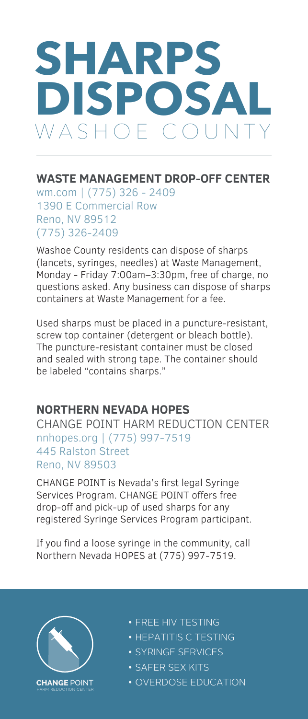# **SHARPS DISPOSAL** VASHOE COUN

### **WASTE MANAGEMENT DROP-OFF CENTER**

wm.com | (775) 326 - 2409 1390 E Commercial Row Reno, NV 89512 (775) 326-2409

Washoe County residents can dispose of sharps (lancets, syringes, needles) at Waste Management, Monday - Friday 7:00am–3:30pm, free of charge, no questions asked. Any business can dispose of sharps containers at Waste Management for a fee.

Used sharps must be placed in a puncture-resistant, screw top container (detergent or bleach bottle). The puncture-resistant container must be closed and sealed with strong tape. The container should be labeled "contains sharps."

#### **NORTHERN NEVADA HOPES**

CHANGE POINT HARM REDUCTION CENTER nnhopes.org | (775) 997-7519 445 Ralston Street Reno, NV 89503

CHANGE POINT is Nevada's first legal Syringe Services Program. CHANGE POINT offers free drop-off and pick-up of used sharps for any registered Syringe Services Program participant.

If you find a loose syringe in the community, call Northern Nevada HOPES at (775) 997-7519.



- FREE HIV TESTING
- HEPATITIS C TESTING
- SYRINGE SERVICES
- SAFER SEX KITS
- OVERDOSE EDUCATION